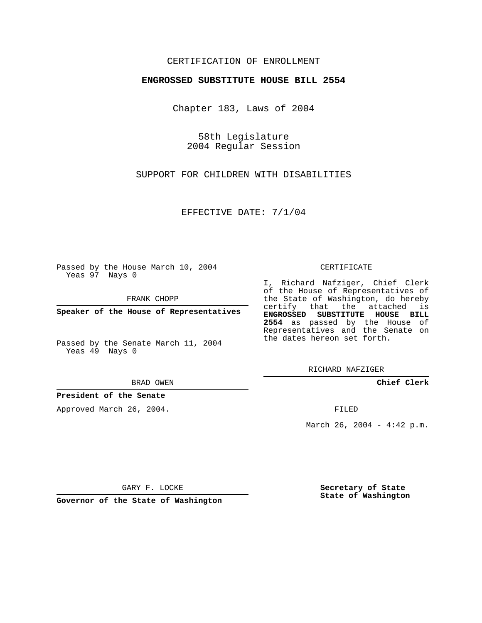## CERTIFICATION OF ENROLLMENT

#### **ENGROSSED SUBSTITUTE HOUSE BILL 2554**

Chapter 183, Laws of 2004

58th Legislature 2004 Regular Session

SUPPORT FOR CHILDREN WITH DISABILITIES

EFFECTIVE DATE: 7/1/04

Passed by the House March 10, 2004 Yeas 97 Nays 0

FRANK CHOPP

**Speaker of the House of Representatives**

Passed by the Senate March 11, 2004 Yeas 49 Nays 0

BRAD OWEN

#### **President of the Senate**

Approved March 26, 2004.

CERTIFICATE

I, Richard Nafziger, Chief Clerk of the House of Representatives of the State of Washington, do hereby certify that the attached is **ENGROSSED SUBSTITUTE HOUSE BILL 2554** as passed by the House of Representatives and the Senate on the dates hereon set forth.

RICHARD NAFZIGER

**Chief Clerk**

FILED

March 26, 2004 - 4:42 p.m.

GARY F. LOCKE

**Governor of the State of Washington**

**Secretary of State State of Washington**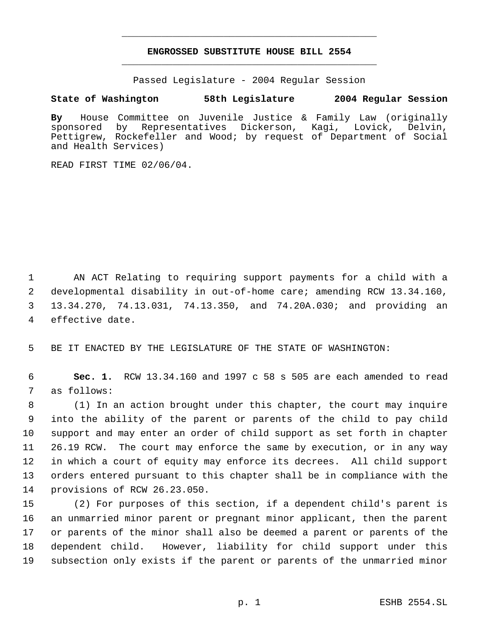# **ENGROSSED SUBSTITUTE HOUSE BILL 2554** \_\_\_\_\_\_\_\_\_\_\_\_\_\_\_\_\_\_\_\_\_\_\_\_\_\_\_\_\_\_\_\_\_\_\_\_\_\_\_\_\_\_\_\_\_

\_\_\_\_\_\_\_\_\_\_\_\_\_\_\_\_\_\_\_\_\_\_\_\_\_\_\_\_\_\_\_\_\_\_\_\_\_\_\_\_\_\_\_\_\_

Passed Legislature - 2004 Regular Session

### **State of Washington 58th Legislature 2004 Regular Session**

**By** House Committee on Juvenile Justice & Family Law (originally sponsored by Representatives Dickerson, Kagi, Lovick, Delvin, Pettigrew, Rockefeller and Wood; by request of Department of Social and Health Services)

READ FIRST TIME 02/06/04.

 AN ACT Relating to requiring support payments for a child with a developmental disability in out-of-home care; amending RCW 13.34.160, 13.34.270, 74.13.031, 74.13.350, and 74.20A.030; and providing an effective date.

BE IT ENACTED BY THE LEGISLATURE OF THE STATE OF WASHINGTON:

 **Sec. 1.** RCW 13.34.160 and 1997 c 58 s 505 are each amended to read as follows:

 (1) In an action brought under this chapter, the court may inquire into the ability of the parent or parents of the child to pay child support and may enter an order of child support as set forth in chapter 26.19 RCW. The court may enforce the same by execution, or in any way in which a court of equity may enforce its decrees. All child support orders entered pursuant to this chapter shall be in compliance with the provisions of RCW 26.23.050.

 (2) For purposes of this section, if a dependent child's parent is an unmarried minor parent or pregnant minor applicant, then the parent or parents of the minor shall also be deemed a parent or parents of the dependent child. However, liability for child support under this subsection only exists if the parent or parents of the unmarried minor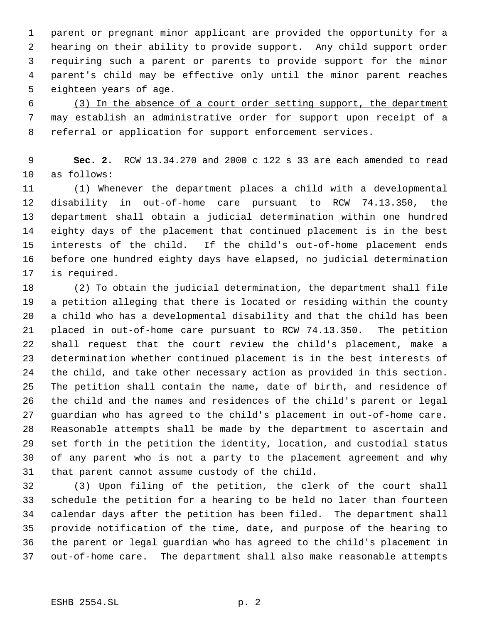parent or pregnant minor applicant are provided the opportunity for a hearing on their ability to provide support. Any child support order requiring such a parent or parents to provide support for the minor parent's child may be effective only until the minor parent reaches eighteen years of age.

 (3) In the absence of a court order setting support, the department may establish an administrative order for support upon receipt of a referral or application for support enforcement services.

 **Sec. 2.** RCW 13.34.270 and 2000 c 122 s 33 are each amended to read as follows:

 (1) Whenever the department places a child with a developmental disability in out-of-home care pursuant to RCW 74.13.350, the department shall obtain a judicial determination within one hundred eighty days of the placement that continued placement is in the best interests of the child. If the child's out-of-home placement ends before one hundred eighty days have elapsed, no judicial determination is required.

 (2) To obtain the judicial determination, the department shall file a petition alleging that there is located or residing within the county a child who has a developmental disability and that the child has been placed in out-of-home care pursuant to RCW 74.13.350. The petition shall request that the court review the child's placement, make a determination whether continued placement is in the best interests of the child, and take other necessary action as provided in this section. The petition shall contain the name, date of birth, and residence of the child and the names and residences of the child's parent or legal guardian who has agreed to the child's placement in out-of-home care. Reasonable attempts shall be made by the department to ascertain and set forth in the petition the identity, location, and custodial status of any parent who is not a party to the placement agreement and why that parent cannot assume custody of the child.

 (3) Upon filing of the petition, the clerk of the court shall schedule the petition for a hearing to be held no later than fourteen calendar days after the petition has been filed. The department shall provide notification of the time, date, and purpose of the hearing to the parent or legal guardian who has agreed to the child's placement in out-of-home care. The department shall also make reasonable attempts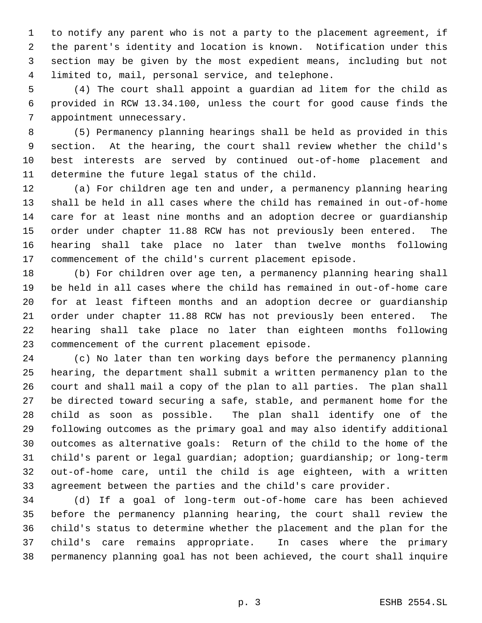to notify any parent who is not a party to the placement agreement, if the parent's identity and location is known. Notification under this section may be given by the most expedient means, including but not limited to, mail, personal service, and telephone.

 (4) The court shall appoint a guardian ad litem for the child as provided in RCW 13.34.100, unless the court for good cause finds the appointment unnecessary.

 (5) Permanency planning hearings shall be held as provided in this section. At the hearing, the court shall review whether the child's best interests are served by continued out-of-home placement and determine the future legal status of the child.

 (a) For children age ten and under, a permanency planning hearing shall be held in all cases where the child has remained in out-of-home care for at least nine months and an adoption decree or guardianship order under chapter 11.88 RCW has not previously been entered. The hearing shall take place no later than twelve months following commencement of the child's current placement episode.

 (b) For children over age ten, a permanency planning hearing shall be held in all cases where the child has remained in out-of-home care for at least fifteen months and an adoption decree or guardianship order under chapter 11.88 RCW has not previously been entered. The hearing shall take place no later than eighteen months following commencement of the current placement episode.

 (c) No later than ten working days before the permanency planning hearing, the department shall submit a written permanency plan to the court and shall mail a copy of the plan to all parties. The plan shall be directed toward securing a safe, stable, and permanent home for the child as soon as possible. The plan shall identify one of the following outcomes as the primary goal and may also identify additional outcomes as alternative goals: Return of the child to the home of the child's parent or legal guardian; adoption; guardianship; or long-term out-of-home care, until the child is age eighteen, with a written agreement between the parties and the child's care provider.

 (d) If a goal of long-term out-of-home care has been achieved before the permanency planning hearing, the court shall review the child's status to determine whether the placement and the plan for the child's care remains appropriate. In cases where the primary permanency planning goal has not been achieved, the court shall inquire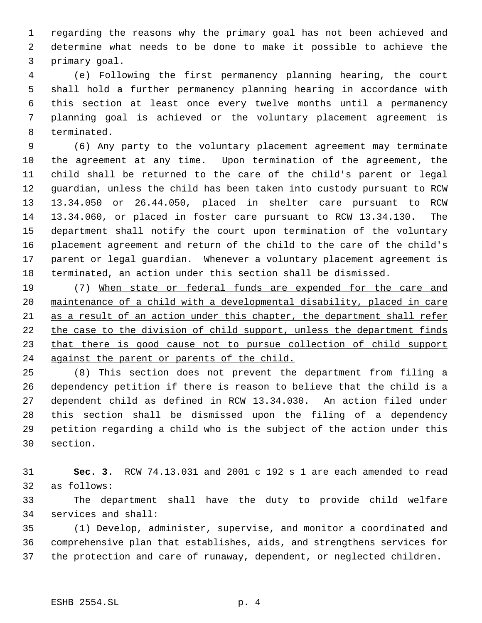regarding the reasons why the primary goal has not been achieved and determine what needs to be done to make it possible to achieve the primary goal.

 (e) Following the first permanency planning hearing, the court shall hold a further permanency planning hearing in accordance with this section at least once every twelve months until a permanency planning goal is achieved or the voluntary placement agreement is terminated.

 (6) Any party to the voluntary placement agreement may terminate the agreement at any time. Upon termination of the agreement, the child shall be returned to the care of the child's parent or legal guardian, unless the child has been taken into custody pursuant to RCW 13.34.050 or 26.44.050, placed in shelter care pursuant to RCW 13.34.060, or placed in foster care pursuant to RCW 13.34.130. The department shall notify the court upon termination of the voluntary placement agreement and return of the child to the care of the child's parent or legal guardian. Whenever a voluntary placement agreement is terminated, an action under this section shall be dismissed.

 (7) When state or federal funds are expended for the care and maintenance of a child with a developmental disability, placed in care as a result of an action under this chapter, the department shall refer 22 the case to the division of child support, unless the department finds 23 that there is good cause not to pursue collection of child support 24 against the parent or parents of the child.

 (8) This section does not prevent the department from filing a dependency petition if there is reason to believe that the child is a dependent child as defined in RCW 13.34.030. An action filed under this section shall be dismissed upon the filing of a dependency petition regarding a child who is the subject of the action under this section.

 **Sec. 3.** RCW 74.13.031 and 2001 c 192 s 1 are each amended to read as follows:

 The department shall have the duty to provide child welfare services and shall:

 (1) Develop, administer, supervise, and monitor a coordinated and comprehensive plan that establishes, aids, and strengthens services for the protection and care of runaway, dependent, or neglected children.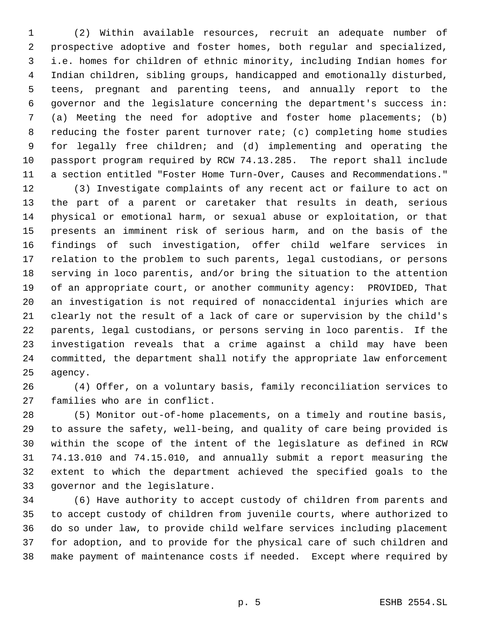(2) Within available resources, recruit an adequate number of prospective adoptive and foster homes, both regular and specialized, i.e. homes for children of ethnic minority, including Indian homes for Indian children, sibling groups, handicapped and emotionally disturbed, teens, pregnant and parenting teens, and annually report to the governor and the legislature concerning the department's success in: (a) Meeting the need for adoptive and foster home placements; (b) reducing the foster parent turnover rate; (c) completing home studies for legally free children; and (d) implementing and operating the passport program required by RCW 74.13.285. The report shall include a section entitled "Foster Home Turn-Over, Causes and Recommendations."

 (3) Investigate complaints of any recent act or failure to act on the part of a parent or caretaker that results in death, serious physical or emotional harm, or sexual abuse or exploitation, or that presents an imminent risk of serious harm, and on the basis of the findings of such investigation, offer child welfare services in relation to the problem to such parents, legal custodians, or persons serving in loco parentis, and/or bring the situation to the attention of an appropriate court, or another community agency: PROVIDED, That an investigation is not required of nonaccidental injuries which are clearly not the result of a lack of care or supervision by the child's parents, legal custodians, or persons serving in loco parentis. If the investigation reveals that a crime against a child may have been committed, the department shall notify the appropriate law enforcement agency.

 (4) Offer, on a voluntary basis, family reconciliation services to families who are in conflict.

 (5) Monitor out-of-home placements, on a timely and routine basis, to assure the safety, well-being, and quality of care being provided is within the scope of the intent of the legislature as defined in RCW 74.13.010 and 74.15.010, and annually submit a report measuring the extent to which the department achieved the specified goals to the governor and the legislature.

 (6) Have authority to accept custody of children from parents and to accept custody of children from juvenile courts, where authorized to do so under law, to provide child welfare services including placement for adoption, and to provide for the physical care of such children and make payment of maintenance costs if needed. Except where required by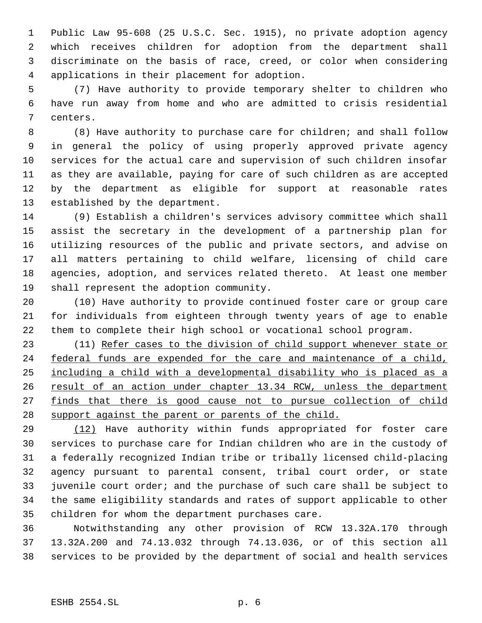Public Law 95-608 (25 U.S.C. Sec. 1915), no private adoption agency which receives children for adoption from the department shall discriminate on the basis of race, creed, or color when considering applications in their placement for adoption.

 (7) Have authority to provide temporary shelter to children who have run away from home and who are admitted to crisis residential centers.

 (8) Have authority to purchase care for children; and shall follow in general the policy of using properly approved private agency services for the actual care and supervision of such children insofar as they are available, paying for care of such children as are accepted by the department as eligible for support at reasonable rates established by the department.

 (9) Establish a children's services advisory committee which shall assist the secretary in the development of a partnership plan for utilizing resources of the public and private sectors, and advise on all matters pertaining to child welfare, licensing of child care agencies, adoption, and services related thereto. At least one member shall represent the adoption community.

 (10) Have authority to provide continued foster care or group care for individuals from eighteen through twenty years of age to enable them to complete their high school or vocational school program.

23 (11) Refer cases to the division of child support whenever state or 24 federal funds are expended for the care and maintenance of a child, including a child with a developmental disability who is placed as a 26 result of an action under chapter 13.34 RCW, unless the department 27 finds that there is good cause not to pursue collection of child 28 support against the parent or parents of the child.

 (12) Have authority within funds appropriated for foster care services to purchase care for Indian children who are in the custody of a federally recognized Indian tribe or tribally licensed child-placing agency pursuant to parental consent, tribal court order, or state juvenile court order; and the purchase of such care shall be subject to the same eligibility standards and rates of support applicable to other children for whom the department purchases care.

 Notwithstanding any other provision of RCW 13.32A.170 through 13.32A.200 and 74.13.032 through 74.13.036, or of this section all services to be provided by the department of social and health services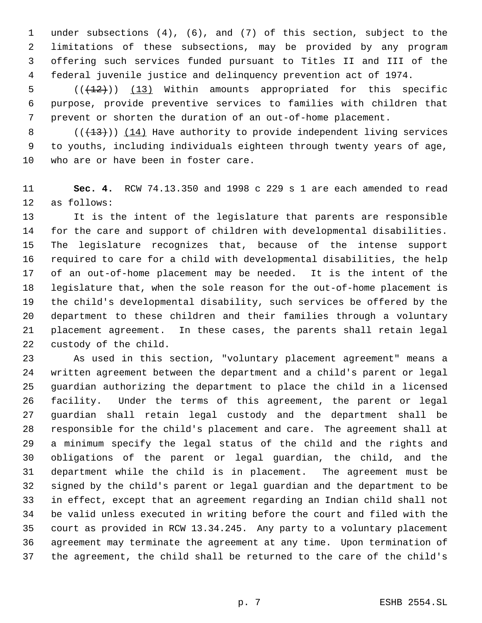under subsections (4), (6), and (7) of this section, subject to the limitations of these subsections, may be provided by any program offering such services funded pursuant to Titles II and III of the federal juvenile justice and delinquency prevention act of 1974.

5  $((+12))$   $(13)$  Within amounts appropriated for this specific purpose, provide preventive services to families with children that prevent or shorten the duration of an out-of-home placement.

8 (( $(13)$ )) (14) Have authority to provide independent living services to youths, including individuals eighteen through twenty years of age, who are or have been in foster care.

 **Sec. 4.** RCW 74.13.350 and 1998 c 229 s 1 are each amended to read as follows:

 It is the intent of the legislature that parents are responsible for the care and support of children with developmental disabilities. The legislature recognizes that, because of the intense support required to care for a child with developmental disabilities, the help of an out-of-home placement may be needed. It is the intent of the legislature that, when the sole reason for the out-of-home placement is the child's developmental disability, such services be offered by the department to these children and their families through a voluntary placement agreement. In these cases, the parents shall retain legal custody of the child.

 As used in this section, "voluntary placement agreement" means a written agreement between the department and a child's parent or legal guardian authorizing the department to place the child in a licensed facility. Under the terms of this agreement, the parent or legal guardian shall retain legal custody and the department shall be responsible for the child's placement and care. The agreement shall at a minimum specify the legal status of the child and the rights and obligations of the parent or legal guardian, the child, and the department while the child is in placement. The agreement must be signed by the child's parent or legal guardian and the department to be in effect, except that an agreement regarding an Indian child shall not be valid unless executed in writing before the court and filed with the court as provided in RCW 13.34.245. Any party to a voluntary placement agreement may terminate the agreement at any time. Upon termination of the agreement, the child shall be returned to the care of the child's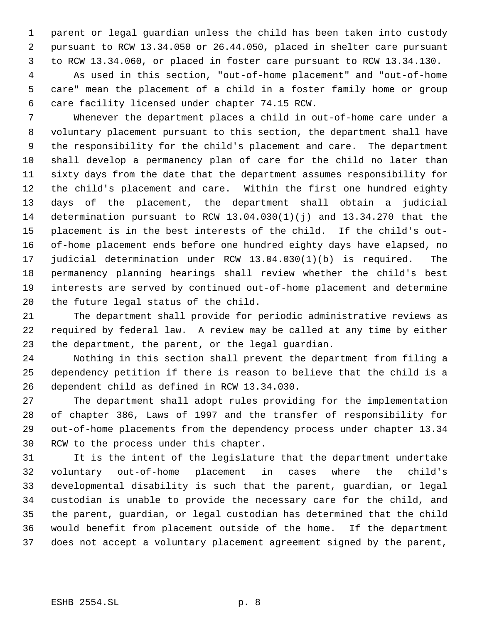parent or legal guardian unless the child has been taken into custody pursuant to RCW 13.34.050 or 26.44.050, placed in shelter care pursuant to RCW 13.34.060, or placed in foster care pursuant to RCW 13.34.130.

 As used in this section, "out-of-home placement" and "out-of-home care" mean the placement of a child in a foster family home or group care facility licensed under chapter 74.15 RCW.

 Whenever the department places a child in out-of-home care under a voluntary placement pursuant to this section, the department shall have the responsibility for the child's placement and care. The department shall develop a permanency plan of care for the child no later than sixty days from the date that the department assumes responsibility for the child's placement and care. Within the first one hundred eighty days of the placement, the department shall obtain a judicial determination pursuant to RCW 13.04.030(1)(j) and 13.34.270 that the placement is in the best interests of the child. If the child's out- of-home placement ends before one hundred eighty days have elapsed, no judicial determination under RCW 13.04.030(1)(b) is required. The permanency planning hearings shall review whether the child's best interests are served by continued out-of-home placement and determine the future legal status of the child.

 The department shall provide for periodic administrative reviews as required by federal law. A review may be called at any time by either the department, the parent, or the legal guardian.

 Nothing in this section shall prevent the department from filing a dependency petition if there is reason to believe that the child is a dependent child as defined in RCW 13.34.030.

 The department shall adopt rules providing for the implementation of chapter 386, Laws of 1997 and the transfer of responsibility for out-of-home placements from the dependency process under chapter 13.34 RCW to the process under this chapter.

 It is the intent of the legislature that the department undertake voluntary out-of-home placement in cases where the child's developmental disability is such that the parent, guardian, or legal custodian is unable to provide the necessary care for the child, and the parent, guardian, or legal custodian has determined that the child would benefit from placement outside of the home. If the department does not accept a voluntary placement agreement signed by the parent,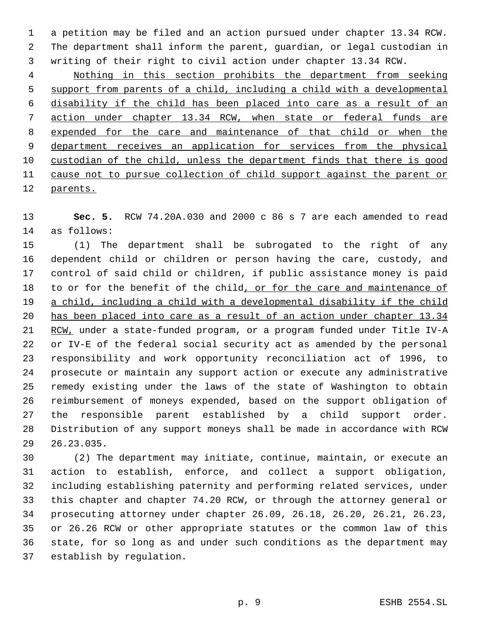a petition may be filed and an action pursued under chapter 13.34 RCW. The department shall inform the parent, guardian, or legal custodian in writing of their right to civil action under chapter 13.34 RCW.

 Nothing in this section prohibits the department from seeking support from parents of a child, including a child with a developmental disability if the child has been placed into care as a result of an action under chapter 13.34 RCW, when state or federal funds are expended for the care and maintenance of that child or when the 9 department receives an application for services from the physical custodian of the child, unless the department finds that there is good cause not to pursue collection of child support against the parent or parents.

 **Sec. 5.** RCW 74.20A.030 and 2000 c 86 s 7 are each amended to read as follows:

 (1) The department shall be subrogated to the right of any dependent child or children or person having the care, custody, and control of said child or children, if public assistance money is paid 18 to or for the benefit of the child, or for the care and maintenance of a child, including a child with a developmental disability if the child has been placed into care as a result of an action under chapter 13.34 21 RCW, under a state-funded program, or a program funded under Title IV-A or IV-E of the federal social security act as amended by the personal responsibility and work opportunity reconciliation act of 1996, to prosecute or maintain any support action or execute any administrative remedy existing under the laws of the state of Washington to obtain reimbursement of moneys expended, based on the support obligation of the responsible parent established by a child support order. Distribution of any support moneys shall be made in accordance with RCW 26.23.035.

 (2) The department may initiate, continue, maintain, or execute an action to establish, enforce, and collect a support obligation, including establishing paternity and performing related services, under this chapter and chapter 74.20 RCW, or through the attorney general or prosecuting attorney under chapter 26.09, 26.18, 26.20, 26.21, 26.23, or 26.26 RCW or other appropriate statutes or the common law of this state, for so long as and under such conditions as the department may establish by regulation.